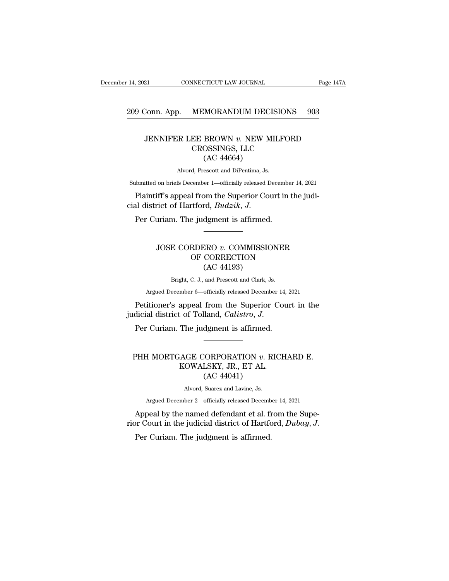# 209 Conn. App. MEMORANDUM DECISIONS 903

### Fage 147A<br>Conn. App. MEMORANDUM DECISIONS 903<br>JENNIFER LEE BROWN *v.* NEW MILFORD<br>CROSSINGS, LLC<br>(AC 44664)  $\begin{array}{l} \textbf{MEMORANDUM DECISIONS} \\ \textbf{EE BROWN } v. \textbf{NEW MILFORD} \\ \textbf{CROSSINGS, LLC} \\ \textbf{(AC 44664)} \end{array}$ MORANDUM DEC<br>BROWN v. NEW M<br>OSSINGS, LLC<br>(AC 44664)<br>escott and DiPentima, Js. JENNIFER LEE BROWN  $v$ . NEW MILFORD<br>CROSSINGS, LLC<br>(AC 44664)<br>Alvord, Prescott and DiPentima, Js. JENNIFER LEE BROWN  $v$ . NEW MILFORD<br>CROSSINGS, LLC<br>(AC 44664)<br>Alvord, Prescott and DiPentima, Js.<br>abmitted on briefs December 1—officially released December 14, 2021<br>Plaintiff's appeal from the Superior Court in the judi-

Submitted on briefs December 1—officially released December 14, 2021 CROSSINGS, LLC<br>
(AC 44664)<br>
Alvord, Prescott and DiPentima, Js.<br>
Submitted on briefs December 1—officially released December<br>
Plaintiff's appeal from the Superior Court in<br>
cial district of Hartford, *Budzik*, J.<br>
Per Curi

#### Fiff's appeal from the Superior Court in the judi-<br>
ict of Hartford, *Budzik*, *J.*<br>
<br>
<br>
<br>
JOSE CORDERO *v.* COMMISSIONER<br>
OF CORRECTION<br>
(AC 44103) The Superior Court in the Julian Correct<br>
First Correction Sudgment is affirmed.<br>
RDERO v. COMMISSIONER<br>
OF CORRECTION (AC 44193) (d, *Budzik*, *J.*<br>dgment is affirmed.<br>CRO *v.* COMMISSIC<br>CORRECTION<br>(AC 44193)<br>and Prescott and Clark, J JOSE CORDERO  $v$ . COMMISSIONER<br>OF CORRECTION<br>(AC 44193)<br>Bright, C. J., and Prescott and Clark, Js.<br>Argued December 6—officially released December 14, 2021 JOSE COKDERO  $v$ . COMMISSIONER<br>
OF CORRECTION<br>  $(AC 44193)$ <br>
Bright, C. J., and Prescott and Clark, Js.<br>
Argued December 6—officially released December 14, 2021<br>
itioner's anneal from the Sunerior Court in the JOSE CORDERO v. COMMISSIONER<br>
OF CORRECTION<br>
(AC 44193)<br>
Bright, C. J., and Prescott and Clark, Js.<br>
Argued December 6—officially released December 14, 2021<br>
Petitioner's appeal from the Superior Court in the<br>
dicial distr

OF CORRECTION<br>(AC 44193)<br>Bright, C. J., and Prescott and Clark, Js.<br>Argued December 6—officially released December 14, 2<br>Petitioner's appeal from the Superior Coun<br>judicial district of Tolland, *Calistro*, *J*.<br>Per Curiam.

#### Petitioner's appeal from the Superior Court in the<br>dicial district of Tolland, *Calistro*, *J*.<br>Per Curiam. The judgment is affirmed.<br>PHH MORTGAGE CORPORATION *v*. RICHARD E.<br>KOWALSKY, JR., ET AL. Experiment is affirmed.<br>
The judgment is affirmed.<br>
The judgment is affirmed.<br>
AGE CORPORATION v. RICH KOWALSKY, JR., ET AL.<br>
(AC 44041) dgment is affirmed.<br>
CORPORATION v. F<br>
LSKY, JR., ET AL.<br>
(AC 44041)<br>
Suarez and Lavine, Js. PHH MORTGAGE CORPORATION  $v$ . RICHARD E.<br>KOWALSKY, JR., ET AL.<br>(AC 44041)<br>Alvord, Suarez and Lavine, Js.<br>Argued December 2—officially released December 14, 2021  $H$  MORTGAGE CORPORATION  $v$ . RICHARD E.<br>  $KOWALSKY$ , JR., ET AL.<br>  $(AC 44041)$ <br>
Alvord, Suarez and Lavine, Js.<br>
Argued December 2—officially released December 14, 2021<br>
Deal by the named defendant et al. from the Supe-PHH MORTGAGE CORPORATION  $v$ . RICHARD E.<br>KOWALSKY, JR., ET AL.<br>(AC 44041)<br>alvord, Suarez and Lavine, Js.<br>Argued December 2—officially released December 14, 2021<br>Appeal by the named defendant et al. from the Supe-<br>pr Court

KOWALSKY, JR., ET AL.<br>
(AC 44041)<br>
Alvord, Suarez and Lavine, Js.<br>
Argued December 2—officially released December 14, 2021<br>
Appeal by the named defendant et al. from the Supe-<br>
rior Court in the judicial district of Hartfo